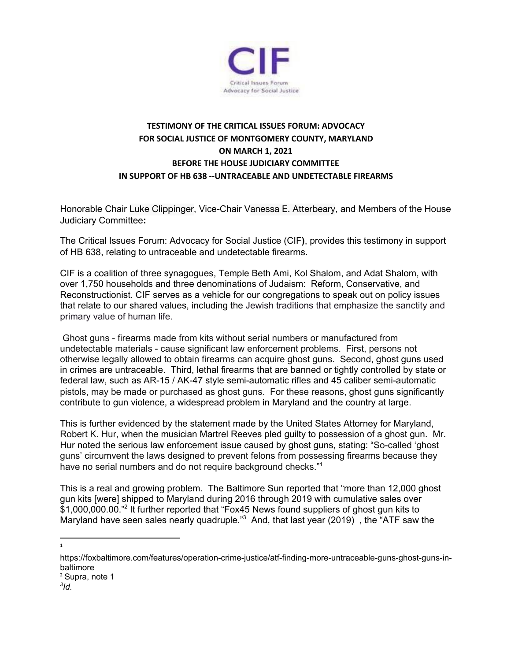

## **TESTIMONY OF THE CRITICAL ISSUES FORUM: ADVOCACY FOR SOCIAL JUSTICE OF MONTGOMERY COUNTY, MARYLAND ON MARCH 1, 2021 BEFORE THE HOUSE JUDICIARY COMMITTEE IN SUPPORT OF HB 638 --UNTRACEABLE AND UNDETECTABLE FIREARMS**

Honorable Chair Luke [Clippinger](https://mgaleg.maryland.gov/mgawebsite/Members/Details/clippinger), Vice-Chair Vanessa E. [Atterbeary](https://mgaleg.maryland.gov/mgawebsite/Members/Details/atterbeary01), and Members of the House Judiciary Committee**:**

The Critical Issues Forum: Advocacy for Social Justice (CIF**)**, provides this testimony in support of HB 638, relating to untraceable and undetectable firearms.

CIF is a coalition of three synagogues, Temple Beth Ami, Kol Shalom, and Adat Shalom, with over 1,750 households and three denominations of Judaism: Reform, Conservative, and Reconstructionist. CIF serves as a vehicle for our congregations to speak out on policy issues that relate to our shared values, including the Jewish traditions that emphasize the sanctity and primary value of human life.

Ghost guns - firearms made from kits without serial numbers or manufactured from undetectable materials - cause significant law enforcement problems. First, persons not otherwise legally allowed to obtain firearms can acquire ghost guns. Second, ghost guns used in crimes are untraceable. Third, lethal firearms that are banned or tightly controlled by state or federal law, such as AR-15 / AK-47 style semi-automatic rifles and 45 caliber semi-automatic pistols, may be made or purchased as ghost guns. For these reasons, ghost guns significantly contribute to gun violence, a widespread problem in Maryland and the country at large.

This is further evidenced by the statement made by the United States Attorney for Maryland, Robert K. Hur, when the musician Martrel Reeves pled guilty to possession of a ghost gun. Mr. Hur noted the serious law enforcement issue caused by ghost guns, stating: "So-called 'ghost guns' circumvent the laws designed to prevent felons from possessing firearms because they have no serial numbers and do not require background checks."<sup>1</sup>

This is a real and growing problem. The Baltimore Sun reported that "more than 12,000 ghost gun kits [were] shipped to Maryland during 2016 through 2019 with cumulative sales over \$1,000,000.00."<sup>2</sup> It further reported that "Fox45 News found suppliers of ghost gun kits to Maryland have seen sales nearly quadruple." $3$  And, that last year (2019), the "ATF saw the

1

*3 Id.*

https://foxbaltimore.com/features/operation-crime-justice/atf-finding-more-untraceable-guns-ghost-guns-inbaltimore <sup>2</sup> Supra, note 1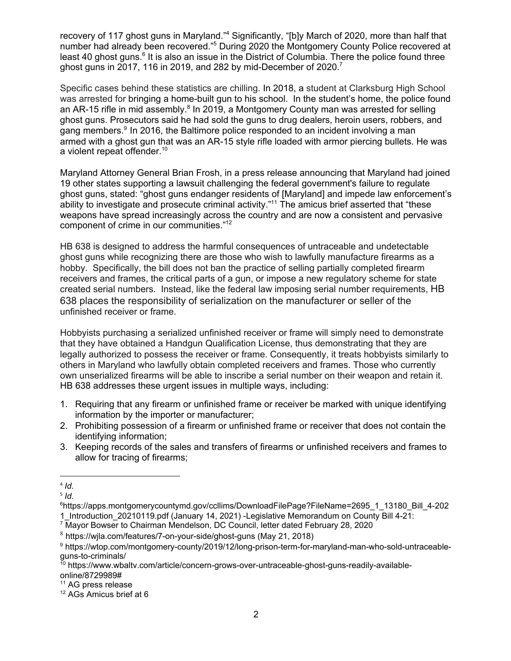recovery of 117 ghost guns in Maryland."<sup>4</sup> Significantly, "[b]y March of 2020, more than half that number had already been recovered."<sup>5</sup> During 2020 the Montgomery County Police recovered at least 40 ghost guns.<sup>6</sup> It is also an issue in the District of Columbia. There the police found three ghost guns in 2017, 116 in 2019, and 282 by mid-December of 2020.<sup>7</sup>

Specific cases behind these statistics are chilling. In 2018, a student at Clarksburg High School was arrested for bringing a home-built gun to his school. In the student's home, the police found an AR-15 rifle in mid assembly.<sup>8</sup> In 2019, a Montgomery County man was arrested for selling ghost guns. Prosecutors said he had sold the guns to drug dealers, heroin users, robbers, and gang members.<sup>9</sup> In 2016, the Baltimore police responded to an incident involving a man armed with a ghost gun that was an AR-15 style rifle loaded with armor piercing bullets. He was a violent repeat offender. 10

Maryland Attorney General Brian Frosh, in a press release announcing that Maryland had joined 19 other states supporting a lawsuit challenging the federal government's failure to regulate ghost guns, stated: "ghost guns endanger residents of [Maryland] and impede law enforcement's ability to investigate and prosecute criminal activity."<sup>11</sup> The amicus brief asserted that "these weapons have spread increasingly across the country and are now a consistent and pervasive component of crime in our communities." 12

HB 638 is designed to address the harmful consequences of untraceable and undetectable ghost guns while recognizing there are those who wish to lawfully manufacture firearms as a hobby. Specifically, the bill does not ban the practice of selling partially completed firearm receivers and frames, the critical parts of a gun, or impose a new regulatory scheme for state created serial numbers. Instead, like the federal law imposing serial number requirements, HB 638 places the responsibility of serialization on the manufacturer or seller of the unfinished receiver or frame.

Hobbyists purchasing a serialized unfinished receiver or frame will simply need to demonstrate that they have obtained a Handgun Qualification License, thus demonstrating that they are legally authorized to possess the receiver or frame. Consequently, it treats hobbyists similarly to others in Maryland who lawfully obtain completed receivers and frames. Those who currently own unserialized firearms will be able to inscribe a serial number on their weapon and retain it. HB 638 addresses these urgent issues in multiple ways, including:

- 1. Requiring that any firearm or unfinished frame or receiver be marked with unique identifying information by the importer or manufacturer;
- 2. Prohibiting possession of a firearm or unfinished frame or receiver that does not contain the identifying information;
- 3. Keeping records of the sales and transfers of firearms or unfinished receivers and frames to allow for tracing of firearms;

<sup>4</sup> *Id.*

<sup>5</sup> *Id.*

<sup>6</sup>https://apps.montgomerycountymd.gov/ccllims/DownloadFilePage?FileName=2695\_1\_13180\_Bill\_4-202 1\_Introduction\_20210119.pdf (January 14, 2021) -Legislative Memorandum on County Bill 4-21:

<sup>7</sup> Mayor Bowser to Chairman Mendelson, DC Council, letter dated February 28, 2020

<sup>8</sup> https://wjla.com/features/7-on-your-side/ghost-guns (May 21, 2018)

<sup>9</sup> https://wtop.com/montgomery-county/2019/12/long-prison-term-for-maryland-man-who-sold-untraceableguns-to-criminals/

 $10$  https://www.wbaltv.com/article/concern-grows-over-untraceable-ghost-guns-readily-availableonline/8729989#

<sup>&</sup>lt;sup>11</sup> AG press release

<sup>12</sup> AGs Amicus brief at 6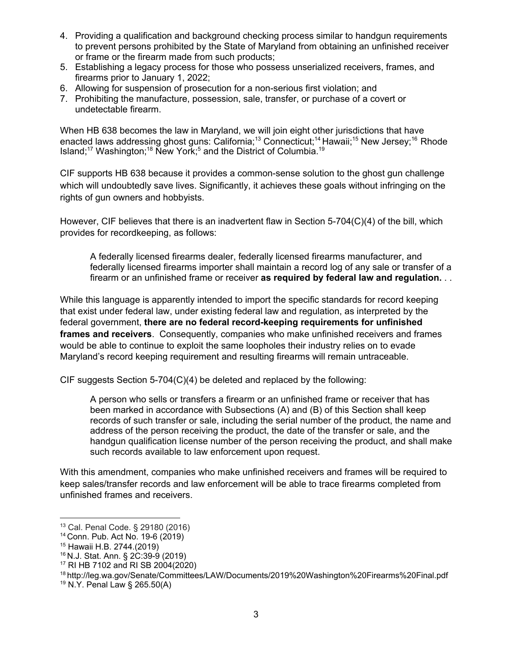- 4. Providing a qualification and background checking process similar to handgun requirements to prevent persons prohibited by the State of Maryland from obtaining an unfinished receiver or frame or the firearm made from such products;
- 5. Establishing a legacy process for those who possess unserialized receivers, frames, and firearms prior to January 1, 2022;
- 6. Allowing for suspension of prosecution for a non-serious first violation; and
- 7. Prohibiting the manufacture, possession, sale, transfer, or purchase of a covert or undetectable firearm.

When HB 638 becomes the law in Maryland, we will join eight other jurisdictions that have enacted laws addressing ghost guns: California;<sup>13</sup> Connecticut;<sup>14</sup> Hawaii;<sup>15</sup> New Jersey;<sup>16</sup> Rhode Island;<sup>17</sup> Washington;<sup>18</sup> New York;<sup>5</sup> and the District of Columbia.<sup>19</sup>

CIF supports HB 638 because it provides a common-sense solution to the ghost gun challenge which will undoubtedly save lives. Significantly, it achieves these goals without infringing on the rights of gun owners and hobbyists.

However, CIF believes that there is an inadvertent flaw in Section 5-704(C)(4) of the bill, which provides for recordkeeping, as follows:

A federally licensed firearms dealer, federally licensed firearms manufacturer, and federally licensed firearms importer shall maintain a record log of any sale or transfer of a firearm or an unfinished frame or receiver **as required by federal law and regulation.** . .

While this language is apparently intended to import the specific standards for record keeping that exist under federal law, under existing federal law and regulation, as interpreted by the federal government, **there are no federal record-keeping requirements for unfinished frames and receivers**. Consequently, companies who make unfinished receivers and frames would be able to continue to exploit the same loopholes their industry relies on to evade Maryland's record keeping requirement and resulting firearms will remain untraceable.

CIF suggests Section 5-704(C)(4) be deleted and replaced by the following:

A person who sells or transfers a firearm or an unfinished frame or receiver that has been marked in accordance with Subsections (A) and (B) of this Section shall keep records of such transfer or sale, including the serial number of the product, the name and address of the person receiving the product, the date of the transfer or sale, and the handgun qualification license number of the person receiving the product, and shall make such records available to law enforcement upon request.

With this amendment, companies who make unfinished receivers and frames will be required to keep sales/transfer records and law enforcement will be able to trace firearms completed from unfinished frames and receivers.

<sup>13</sup> Cal. Penal Code. § 29180 (2016)

<sup>14</sup> Conn. Pub. Act No. 19-6 (2019)

<sup>15</sup> Hawaii H.B. 2744.(2019)

<sup>16</sup> N.J. Stat. Ann. § 2C:39-9 (2019)

<sup>17</sup> RI HB 7102 and RI SB 2004(2020)

<sup>18</sup> http://leg.wa.gov/Senate/Committees/LAW/Documents/2019%20Washington%20Firearms%20Final.pdf

<sup>19</sup> N.Y. Penal Law § 265.50(A)